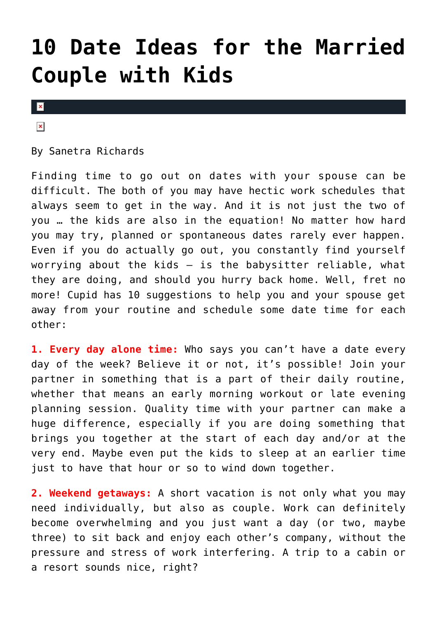# **[10 Date Ideas for the Married](https://cupidspulse.com/75342/10-date-ideas-for-the-married-couple-with-kids/) [Couple with Kids](https://cupidspulse.com/75342/10-date-ideas-for-the-married-couple-with-kids/)**

### $\mathbf{x}$

#### $\pmb{\times}$

By Sanetra Richards

Finding time to go out on dates with your spouse can be difficult. The both of you may have hectic work schedules that always seem to get in the way. And it is not just the two of you … the kids are also in the equation! No matter how hard you may try, planned or spontaneous dates rarely ever happen. Even if you do actually go out, you constantly find yourself worrying about the kids  $-$  is the babysitter reliable, what they are doing, and should you hurry back home. Well, fret no more! Cupid has 10 suggestions to help you and your spouse get away from your routine and schedule some date time for each other:

**1. Every day alone time:** Who says you can't have a date every day of the week? Believe it or not, it's possible! Join your partner in something that is a part of their daily routine, whether that means an early morning workout or late evening planning session. Quality time with your partner can make a huge difference, especially if you are doing something that brings you together at the start of each day and/or at the very end. Maybe even put the kids to sleep at an earlier time just to have that hour or so to wind down together.

**2. Weekend getaways:** A short vacation is not only what you may need individually, but also as couple. Work can definitely become overwhelming and you just want a day (or two, maybe three) to sit back and enjoy each other's company, without the pressure and stress of work interfering. A trip to a cabin or a resort sounds nice, right?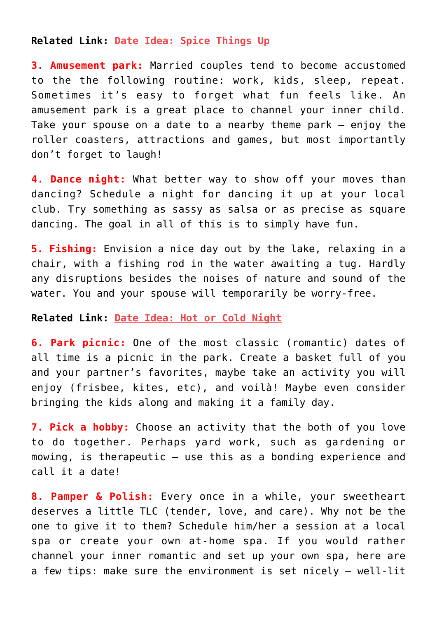## **Related Link: [Date Idea: Spice Things Up](http://www.cupidspulse.com/cinco-de-mayo-date-idea/)**

**3. Amusement park:** Married couples tend to become accustomed to the the following routine: work, kids, sleep, repeat. Sometimes it's easy to forget what fun feels like. An amusement park is a great place to channel your inner child. Take your spouse on a date to a nearby theme park – enjoy the roller coasters, attractions and games, but most importantly don't forget to laugh!

**4. Dance night:** What better way to show off your moves than dancing? Schedule a night for dancing it up at your local club. Try something as sassy as salsa or as precise as square dancing. The goal in all of this is to simply have fun.

**5. Fishing:** Envision a nice day out by the lake, relaxing in a chair, with a fishing rod in the water awaiting a tug. Hardly any disruptions besides the noises of nature and sound of the water. You and your spouse will temporarily be worry-free.

#### **Related Link: [Date Idea: Hot or Cold Night](http://www.cupidspulse.com/date-idea-hot-and-cold-date-night/)**

**6. Park picnic:** One of the most classic (romantic) dates of all time is a picnic in the park. Create a basket full of you and your partner's favorites, maybe take an activity you will enjoy (frisbee, kites, etc), and voilà! Maybe even consider bringing the kids along and making it a family day.

**7. Pick a hobby:** Choose an activity that the both of you love to do together. Perhaps yard work, such as gardening or mowing, is therapeutic – use this as a bonding experience and call it a date!

**8. Pamper & Polish:** Every once in a while, your sweetheart deserves a little TLC (tender, love, and care). Why not be the one to give it to them? Schedule him/her a session at a local spa or create your own at-home spa. If you would rather channel your inner romantic and set up your own spa, here are a few tips: make sure the environment is set nicely – well-lit